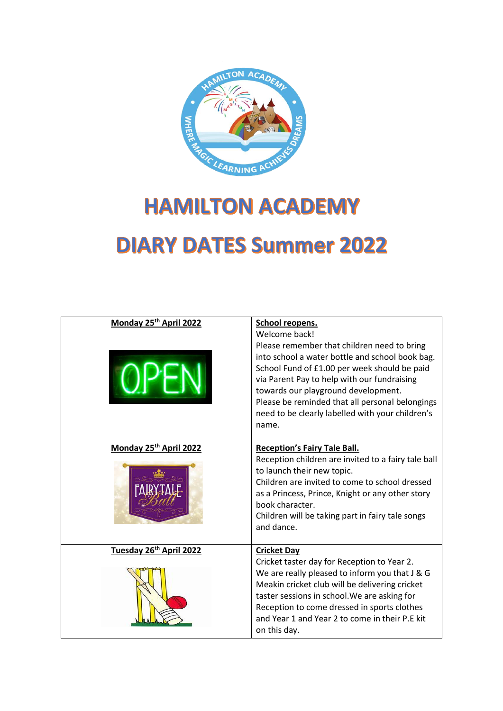

## **HAMILTON ACADEMY DIARY DATES Summer 2022**

| Monday 25th April 2022  | School reopens.<br>Welcome back!                                                                                                                                                                                                                                                                                                                     |
|-------------------------|------------------------------------------------------------------------------------------------------------------------------------------------------------------------------------------------------------------------------------------------------------------------------------------------------------------------------------------------------|
|                         | Please remember that children need to bring<br>into school a water bottle and school book bag.<br>School Fund of £1.00 per week should be paid<br>via Parent Pay to help with our fundraising<br>towards our playground development.<br>Please be reminded that all personal belongings<br>need to be clearly labelled with your children's<br>name. |
| Monday 25th April 2022  | <b>Reception's Fairy Tale Ball.</b>                                                                                                                                                                                                                                                                                                                  |
|                         | Reception children are invited to a fairy tale ball<br>to launch their new topic.<br>Children are invited to come to school dressed<br>as a Princess, Prince, Knight or any other story<br>book character.<br>Children will be taking part in fairy tale songs<br>and dance.                                                                         |
| Tuesday 26th April 2022 | <b>Cricket Day</b>                                                                                                                                                                                                                                                                                                                                   |
|                         | Cricket taster day for Reception to Year 2.<br>We are really pleased to inform you that J & G<br>Meakin cricket club will be delivering cricket<br>taster sessions in school. We are asking for<br>Reception to come dressed in sports clothes<br>and Year 1 and Year 2 to come in their P.E kit<br>on this day.                                     |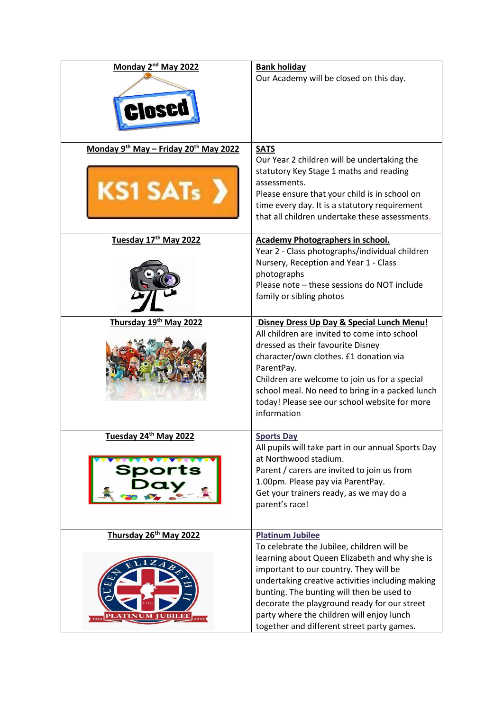| Monday 2 <sup>nd</sup> May 2022                          | <b>Bank holiday</b><br>Our Academy will be closed on this day.                                                                                                                                                                                                                                                                                                                                               |
|----------------------------------------------------------|--------------------------------------------------------------------------------------------------------------------------------------------------------------------------------------------------------------------------------------------------------------------------------------------------------------------------------------------------------------------------------------------------------------|
| Monday 9th May - Friday 20th May 2022<br><b>KS1 SATs</b> | <b>SATS</b><br>Our Year 2 children will be undertaking the<br>statutory Key Stage 1 maths and reading<br>assessments.<br>Please ensure that your child is in school on<br>time every day. It is a statutory requirement<br>that all children undertake these assessments.                                                                                                                                    |
| Tuesday 17th May 2022                                    | <b>Academy Photographers in school.</b><br>Year 2 - Class photographs/individual children<br>Nursery, Reception and Year 1 - Class<br>photographs<br>Please note - these sessions do NOT include<br>family or sibling photos                                                                                                                                                                                 |
| Thursday 19th May 2022                                   | Disney Dress Up Day & Special Lunch Menu!<br>All children are invited to come into school<br>dressed as their favourite Disney<br>character/own clothes. £1 donation via<br>ParentPay.<br>Children are welcome to join us for a special<br>school meal. No need to bring in a packed lunch<br>today! Please see our school website for more<br>information                                                   |
| Tuesday 24th May 2022                                    | <b>Sports Day</b><br>All pupils will take part in our annual Sports Day<br>at Northwood stadium.<br>Parent / carers are invited to join us from<br>1.00pm. Please pay via ParentPay.<br>Get your trainers ready, as we may do a<br>parent's race!                                                                                                                                                            |
| Thursday 26th May 2022                                   | <b>Platinum Jubilee</b><br>To celebrate the Jubilee, children will be<br>learning about Queen Elizabeth and why she is<br>important to our country. They will be<br>undertaking creative activities including making<br>bunting. The bunting will then be used to<br>decorate the playground ready for our street<br>party where the children will enjoy lunch<br>together and different street party games. |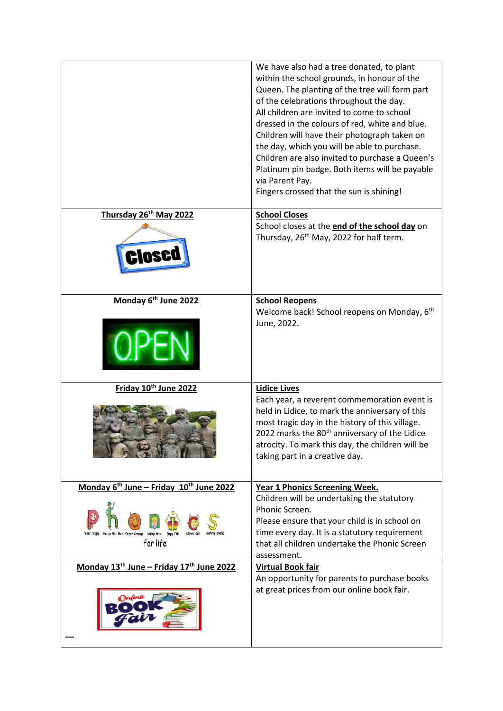|                                                                             | We have also had a tree donated, to plant<br>within the school grounds, in honour of the<br>Queen. The planting of the tree will form part<br>of the celebrations throughout the day.<br>All children are invited to come to school<br>dressed in the colours of red, white and blue.<br>Children will have their photograph taken on<br>the day, which you will be able to purchase.<br>Children are also invited to purchase a Queen's<br>Platinum pin badge. Both items will be payable<br>via Parent Pay.<br>Fingers crossed that the sun is shining! |
|-----------------------------------------------------------------------------|-----------------------------------------------------------------------------------------------------------------------------------------------------------------------------------------------------------------------------------------------------------------------------------------------------------------------------------------------------------------------------------------------------------------------------------------------------------------------------------------------------------------------------------------------------------|
| Thursday 26th May 2022<br><b>DSED</b>                                       | <b>School Closes</b><br>School closes at the end of the school day on<br>Thursday, 26 <sup>th</sup> May, 2022 for half term.                                                                                                                                                                                                                                                                                                                                                                                                                              |
| Monday 6 <sup>th</sup> June 2022                                            | <b>School Reopens</b><br>Welcome back! School reopens on Monday, 6 <sup>th</sup><br>June, 2022.                                                                                                                                                                                                                                                                                                                                                                                                                                                           |
| Friday 10th June 2022                                                       | <b>Lidice Lives</b><br>Each year, a reverent commemoration event is<br>held in Lidice, to mark the anniversary of this<br>most tragic day in the history of this village.<br>2022 marks the 80 <sup>th</sup> anniversary of the Lidice<br>atrocity. To mark this day, the children will be<br>taking part in a creative day.                                                                                                                                                                                                                              |
| Monday 6 <sup>th</sup> June - Friday 10 <sup>th</sup> June 2022<br>for life | <b>Year 1 Phonics Screening Week.</b><br>Children will be undertaking the statutory<br>Phonic Screen.<br>Please ensure that your child is in school on<br>time every day. It is a statutory requirement<br>that all children undertake the Phonic Screen<br>assessment.                                                                                                                                                                                                                                                                                   |
| Monday 13 <sup>th</sup> June - Friday 17 <sup>th</sup> June 2022            | <b>Virtual Book fair</b><br>An opportunity for parents to purchase books<br>at great prices from our online book fair.                                                                                                                                                                                                                                                                                                                                                                                                                                    |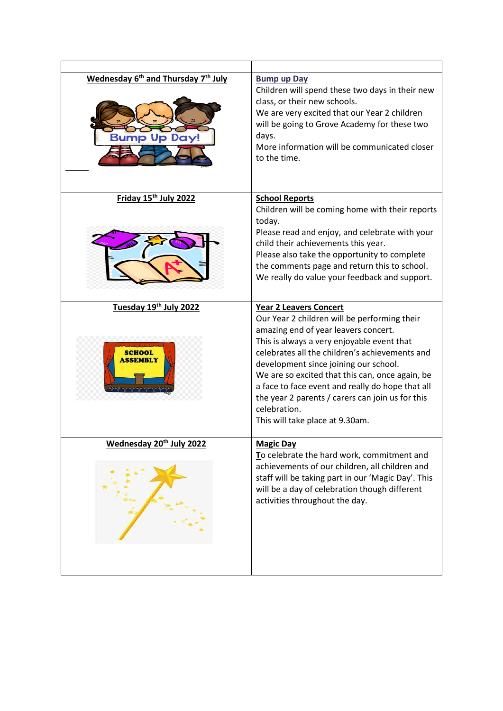| Wednesday 6 <sup>th</sup> and Thursday 7 <sup>th</sup> July<br><b>Bump Up Day!</b> | <b>Bump up Day</b><br>Children will spend these two days in their new<br>class, or their new schools.<br>We are very excited that our Year 2 children<br>will be going to Grove Academy for these two<br>days.<br>More information will be communicated closer<br>to the time.                                                                                                                                                                                               |
|------------------------------------------------------------------------------------|------------------------------------------------------------------------------------------------------------------------------------------------------------------------------------------------------------------------------------------------------------------------------------------------------------------------------------------------------------------------------------------------------------------------------------------------------------------------------|
| Friday 15th July 2022                                                              | <b>School Reports</b><br>Children will be coming home with their reports<br>today.<br>Please read and enjoy, and celebrate with your<br>child their achievements this year.<br>Please also take the opportunity to complete<br>the comments page and return this to school.<br>We really do value your feedback and support.                                                                                                                                                 |
| Tuesday 19th July 2022<br>SCHOOL<br><b>ASSEMBLY</b>                                | <b>Year 2 Leavers Concert</b><br>Our Year 2 children will be performing their<br>amazing end of year leavers concert.<br>This is always a very enjoyable event that<br>celebrates all the children's achievements and<br>development since joining our school.<br>We are so excited that this can, once again, be<br>a face to face event and really do hope that all<br>the year 2 parents / carers can join us for this<br>celebration.<br>This will take place at 9.30am. |
| Wednesday 20th July 2022                                                           | <b>Magic Day</b><br>To celebrate the hard work, commitment and<br>achievements of our children, all children and<br>staff will be taking part in our 'Magic Day'. This<br>will be a day of celebration though different<br>activities throughout the day.                                                                                                                                                                                                                    |